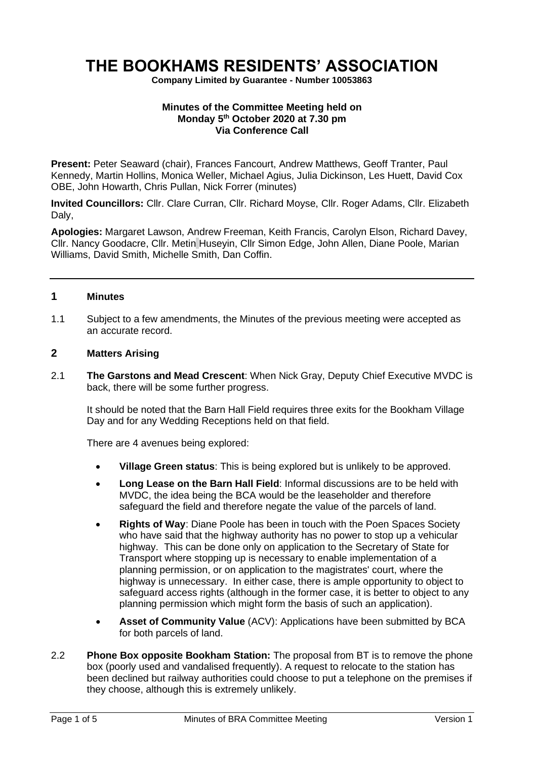# **THE BOOKHAMS RESIDENTS' ASSOCIATION**

**Company Limited by Guarantee - Number 10053863**

#### **Minutes of the Committee Meeting held on Monday 5 th October 2020 at 7.30 pm Via Conference Call**

**Present:** Peter Seaward (chair), Frances Fancourt, Andrew Matthews, Geoff Tranter, Paul Kennedy, Martin Hollins, Monica Weller, Michael Agius, Julia Dickinson, Les Huett, David Cox OBE, John Howarth, Chris Pullan, Nick Forrer (minutes)

**Invited Councillors:** Cllr. Clare Curran, Cllr. Richard Moyse, Cllr. Roger Adams, Cllr. Elizabeth Dalv.

**Apologies:** Margaret Lawson, Andrew Freeman, Keith Francis, Carolyn Elson, Richard Davey, Cllr. Nancy Goodacre, Cllr. Metin Huseyin, Cllr Simon Edge, John Allen, Diane Poole, Marian Williams, David Smith, Michelle Smith, Dan Coffin.

#### **1 Minutes**

1.1 Subject to a few amendments, the Minutes of the previous meeting were accepted as an accurate record.

## **2 Matters Arising**

2.1 **The Garstons and Mead Crescent**: When Nick Gray, Deputy Chief Executive MVDC is back, there will be some further progress.

It should be noted that the Barn Hall Field requires three exits for the Bookham Village Day and for any Wedding Receptions held on that field.

There are 4 avenues being explored:

- **Village Green status**: This is being explored but is unlikely to be approved.
- **Long Lease on the Barn Hall Field**: Informal discussions are to be held with MVDC, the idea being the BCA would be the leaseholder and therefore safeguard the field and therefore negate the value of the parcels of land.
- **Rights of Way**: Diane Poole has been in touch with the Poen Spaces Society who have said that the highway authority has no power to stop up a vehicular highway. This can be done only on application to the Secretary of State for Transport where stopping up is necessary to enable implementation of a planning permission, or on application to the magistrates' court, where the highway is unnecessary. In either case, there is ample opportunity to object to safeguard access rights (although in the former case, it is better to object to any planning permission which might form the basis of such an application).
- **Asset of Community Value** (ACV): Applications have been submitted by BCA for both parcels of land.
- 2.2 **Phone Box opposite Bookham Station:** The proposal from BT is to remove the phone box (poorly used and vandalised frequently). A request to relocate to the station has been declined but railway authorities could choose to put a telephone on the premises if they choose, although this is extremely unlikely.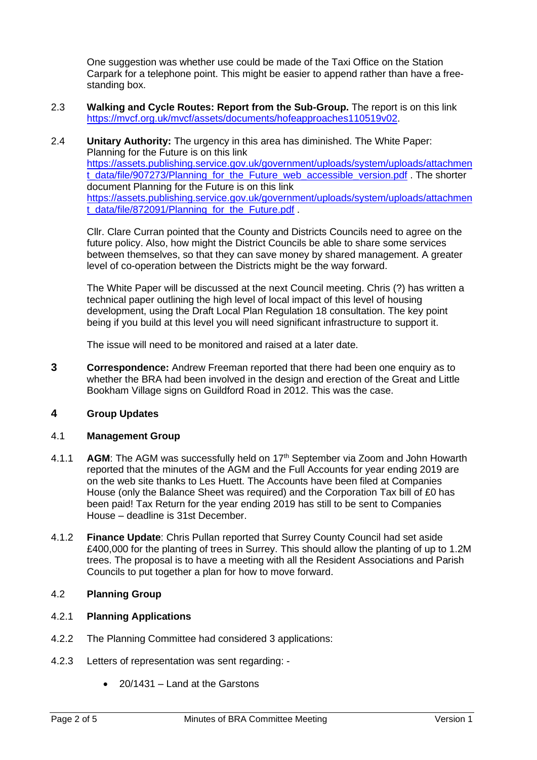One suggestion was whether use could be made of the Taxi Office on the Station Carpark for a telephone point. This might be easier to append rather than have a freestanding box.

- 2.3 **Walking and Cycle Routes: Report from the Sub-Group.** The report is on this link [https://mvcf.org.uk/mvcf/assets/documents/hofeapproaches110519v02.](https://mvcf.org.uk/mvcf/assets/documents/hofeapproaches110519v02)
- 2.4 **Unitary Authority:** The urgency in this area has diminished. The White Paper: Planning for the Future is on this link [https://assets.publishing.service.gov.uk/government/uploads/system/uploads/attachmen](https://assets.publishing.service.gov.uk/government/uploads/system/uploads/attachment_data/file/907273/Planning_for_the_Future_web_accessible_version.pdf) t data/file/907273/Planning for the Future web accessible version.pdf . The shorter document Planning for the Future is on this link [https://assets.publishing.service.gov.uk/government/uploads/system/uploads/attachmen](https://assets.publishing.service.gov.uk/government/uploads/system/uploads/attachment_data/file/872091/Planning_for_the_Future.pdf) [t\\_data/file/872091/Planning\\_for\\_the\\_Future.pdf](https://assets.publishing.service.gov.uk/government/uploads/system/uploads/attachment_data/file/872091/Planning_for_the_Future.pdf).

Cllr. Clare Curran pointed that the County and Districts Councils need to agree on the future policy. Also, how might the District Councils be able to share some services between themselves, so that they can save money by shared management. A greater level of co-operation between the Districts might be the way forward.

The White Paper will be discussed at the next Council meeting. Chris (?) has written a technical paper outlining the high level of local impact of this level of housing development, using the Draft Local Plan Regulation 18 consultation. The key point being if you build at this level you will need significant infrastructure to support it.

The issue will need to be monitored and raised at a later date.

**3 Correspondence:** Andrew Freeman reported that there had been one enquiry as to whether the BRA had been involved in the design and erection of the Great and Little Bookham Village signs on Guildford Road in 2012. This was the case.

# **4 Group Updates**

## 4.1 **Management Group**

- 4.1.1 **AGM**: The AGM was successfully held on 17th September via Zoom and John Howarth reported that the minutes of the AGM and the Full Accounts for year ending 2019 are on the web site thanks to Les Huett. The Accounts have been filed at Companies House (only the Balance Sheet was required) and the Corporation Tax bill of £0 has been paid! Tax Return for the year ending 2019 has still to be sent to Companies House – deadline is 31st December.
- 4.1.2 **Finance Update**: Chris Pullan reported that Surrey County Council had set aside £400,000 for the planting of trees in Surrey. This should allow the planting of up to 1.2M trees. The proposal is to have a meeting with all the Resident Associations and Parish Councils to put together a plan for how to move forward.

# 4.2 **Planning Group**

## 4.2.1 **Planning Applications**

- 4.2.2 The Planning Committee had considered 3 applications:
- 4.2.3 Letters of representation was sent regarding:
	- 20/1431 Land at the Garstons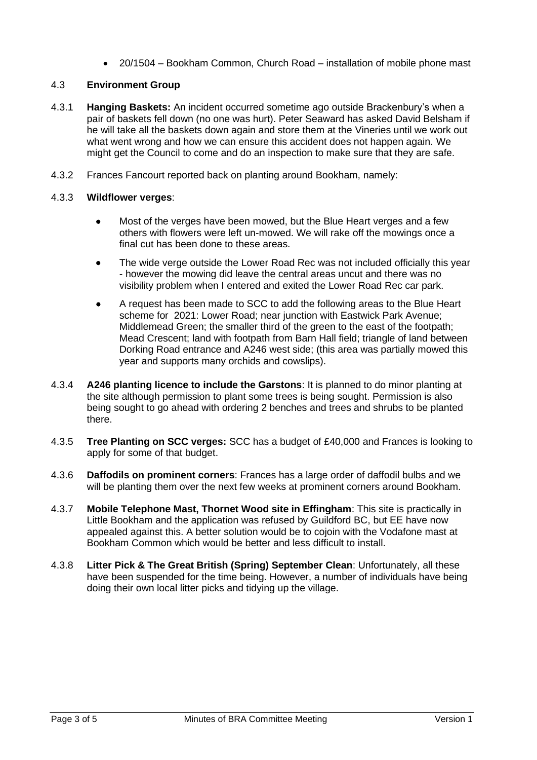• 20/1504 – Bookham Common, Church Road – installation of mobile phone mast

# 4.3 **Environment Group**

- 4.3.1 **Hanging Baskets:** An incident occurred sometime ago outside Brackenbury's when a pair of baskets fell down (no one was hurt). Peter Seaward has asked David Belsham if he will take all the baskets down again and store them at the Vineries until we work out what went wrong and how we can ensure this accident does not happen again. We might get the Council to come and do an inspection to make sure that they are safe.
- 4.3.2 Frances Fancourt reported back on planting around Bookham, namely:

## 4.3.3 **Wildflower verges**:

- Most of the verges have been mowed, but the Blue Heart verges and a few others with flowers were left un-mowed. We will rake off the mowings once a final cut has been done to these areas.
- The wide verge outside the Lower Road Rec was not included officially this year - however the mowing did leave the central areas uncut and there was no visibility problem when I entered and exited the Lower Road Rec car park.
- A request has been made to SCC to add the following areas to the Blue Heart scheme for 2021: Lower Road; near junction with Eastwick Park Avenue; Middlemead Green; the smaller third of the green to the east of the footpath; Mead Crescent; land with footpath from Barn Hall field; triangle of land between Dorking Road entrance and A246 west side; (this area was partially mowed this year and supports many orchids and cowslips).
- 4.3.4 **A246 planting licence to include the Garstons**: It is planned to do minor planting at the site although permission to plant some trees is being sought. Permission is also being sought to go ahead with ordering 2 benches and trees and shrubs to be planted there.
- 4.3.5 **Tree Planting on SCC verges:** SCC has a budget of £40,000 and Frances is looking to apply for some of that budget.
- 4.3.6 **Daffodils on prominent corners**: Frances has a large order of daffodil bulbs and we will be planting them over the next few weeks at prominent corners around Bookham.
- 4.3.7 **Mobile Telephone Mast, Thornet Wood site in Effingham**: This site is practically in Little Bookham and the application was refused by Guildford BC, but EE have now appealed against this. A better solution would be to cojoin with the Vodafone mast at Bookham Common which would be better and less difficult to install.
- 4.3.8 **Litter Pick & The Great British (Spring) September Clean**: Unfortunately, all these have been suspended for the time being. However, a number of individuals have being doing their own local litter picks and tidying up the village.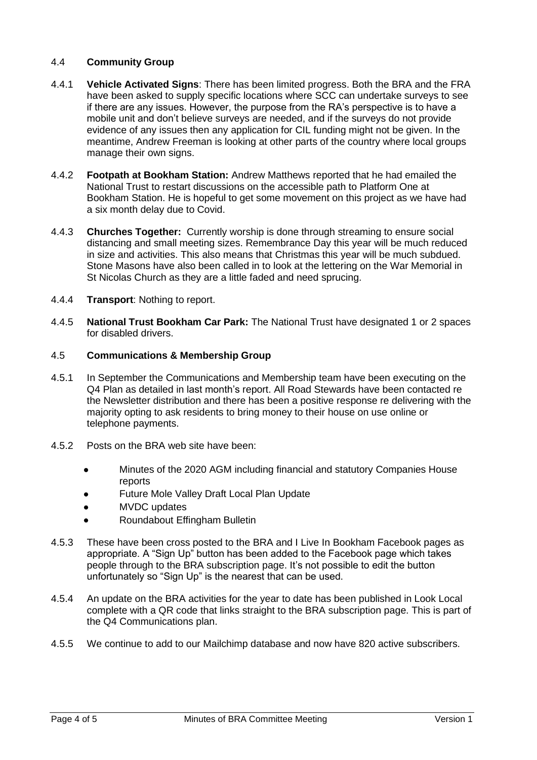## 4.4 **Community Group**

- 4.4.1 **Vehicle Activated Signs**: There has been limited progress. Both the BRA and the FRA have been asked to supply specific locations where SCC can undertake surveys to see if there are any issues. However, the purpose from the RA's perspective is to have a mobile unit and don't believe surveys are needed, and if the surveys do not provide evidence of any issues then any application for CIL funding might not be given. In the meantime, Andrew Freeman is looking at other parts of the country where local groups manage their own signs.
- 4.4.2 **Footpath at Bookham Station:** Andrew Matthews reported that he had emailed the National Trust to restart discussions on the accessible path to Platform One at Bookham Station. He is hopeful to get some movement on this project as we have had a six month delay due to Covid.
- 4.4.3 **Churches Together:** Currently worship is done through streaming to ensure social distancing and small meeting sizes. Remembrance Day this year will be much reduced in size and activities. This also means that Christmas this year will be much subdued. Stone Masons have also been called in to look at the lettering on the War Memorial in St Nicolas Church as they are a little faded and need sprucing.
- 4.4.4 **Transport**: Nothing to report.
- 4.4.5 **National Trust Bookham Car Park:** The National Trust have designated 1 or 2 spaces for disabled drivers.

#### 4.5 **Communications & Membership Group**

- 4.5.1 In September the Communications and Membership team have been executing on the Q4 Plan as detailed in last month's report. All Road Stewards have been contacted re the Newsletter distribution and there has been a positive response re delivering with the majority opting to ask residents to bring money to their house on use online or telephone payments.
- 4.5.2 Posts on the BRA web site have been:
	- Minutes of the 2020 AGM including financial and statutory Companies House reports
	- Future Mole Valley Draft Local Plan Update
	- MVDC updates
	- Roundabout Effingham Bulletin
- 4.5.3 These have been cross posted to the BRA and I Live In Bookham Facebook pages as appropriate. A "Sign Up" button has been added to the Facebook page which takes people through to the BRA subscription page. It's not possible to edit the button unfortunately so "Sign Up" is the nearest that can be used.
- 4.5.4 An update on the BRA activities for the year to date has been published in Look Local complete with a QR code that links straight to the BRA subscription page. This is part of the Q4 Communications plan.
- 4.5.5 We continue to add to our Mailchimp database and now have 820 active subscribers.